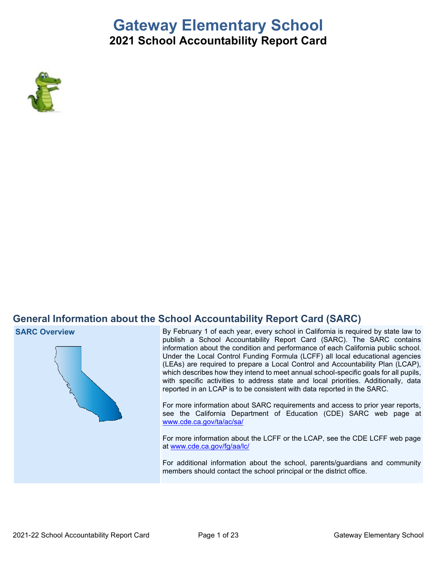# **Gateway Elementary School**

# **2021 School Accountability Report Card**



# **General Information about the School Accountability Report Card (SARC)**

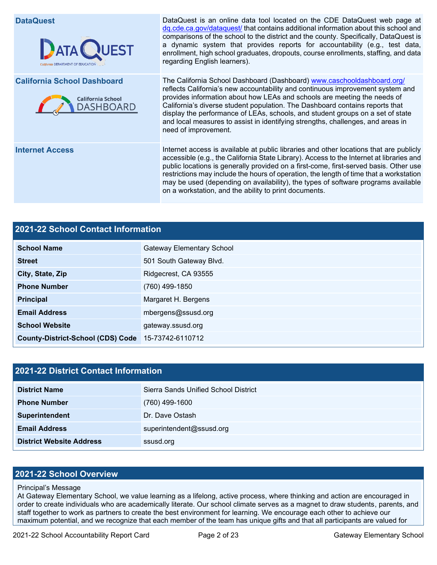**DataQuest DataQuest DataQuest** is an online data tool located on the CDE DataQuest web page at [dq.cde.ca.gov/dataquest/](https://dq.cde.ca.gov/dataquest/) that contains additional information about this school and comparisons of the school to the district and the county. Specifically, DataQuest is a dynamic system that provides reports for accountability (e.g., test data, **ATA QUEST** enrollment, high school graduates, dropouts, course enrollments, staffing, and data regarding English learners). **California School Dashboard** The California School Dashboard (Dashboard) [www.caschooldashboard.org/](http://www.caschooldashboard.org/) reflects California's new accountability and continuous improvement system and provides information about how LEAs and schools are meeting the needs of **California School** California's diverse student population. The Dashboard contains reports that DASHBOARD display the performance of LEAs, schools, and student groups on a set of state and local measures to assist in identifying strengths, challenges, and areas in need of improvement. **Internet Access** Internet access is available at public libraries and other locations that are publicly accessible (e.g., the California State Library). Access to the Internet at libraries and public locations is generally provided on a first-come, first-served basis. Other use restrictions may include the hours of operation, the length of time that a workstation may be used (depending on availability), the types of software programs available on a workstation, and the ability to print documents.

# **2021-22 School Contact Information School Name** Gateway Elementary School **Street** 501 South Gateway Blvd. **City, State, Zip Ridgecrest, CA 93555 Phone Number** (760) 499-1850 **Principal** Margaret H. Bergens **Email Address** mbergens@ssusd.org **School Website gateway.ssusd.org County-District-School (CDS) Code** 15-73742-6110712

| 2021-22 District Contact Information |                                      |  |  |  |  |
|--------------------------------------|--------------------------------------|--|--|--|--|
| <b>District Name</b>                 | Sierra Sands Unified School District |  |  |  |  |
| <b>Phone Number</b>                  | $(760)$ 499-1600                     |  |  |  |  |
| Superintendent                       | Dr. Dave Ostash                      |  |  |  |  |
| <b>Email Address</b>                 | superintendent@ssusd.org             |  |  |  |  |
| <b>District Website Address</b>      | ssusd.org                            |  |  |  |  |

#### **2021-22 School Overview**

#### Principal's Message

At Gateway Elementary School, we value learning as a lifelong, active process, where thinking and action are encouraged in order to create individuals who are academically literate. Our school climate serves as a magnet to draw students, parents, and staff together to work as partners to create the best environment for learning. We encourage each other to achieve our maximum potential, and we recognize that each member of the team has unique gifts and that all participants are valued for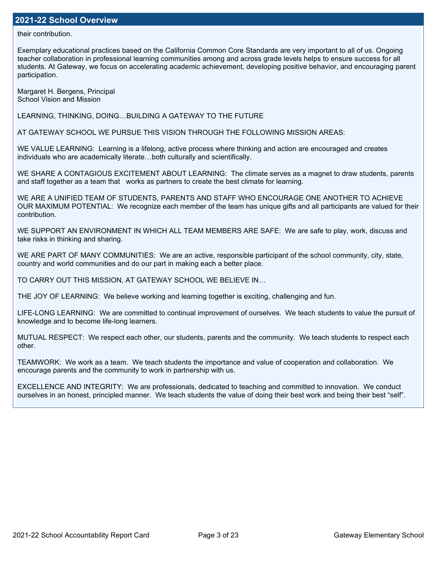their contribution.

Exemplary educational practices based on the California Common Core Standards are very important to all of us. Ongoing teacher collaboration in professional learning communities among and across grade levels helps to ensure success for all students. At Gateway, we focus on accelerating academic achievement, developing positive behavior, and encouraging parent participation.

Margaret H. Bergens, Principal School Vision and Mission

LEARNING, THINKING, DOING…BUILDING A GATEWAY TO THE FUTURE

AT GATEWAY SCHOOL WE PURSUE THIS VISION THROUGH THE FOLLOWING MISSION AREAS:

WE VALUE LEARNING: Learning is a lifelong, active process where thinking and action are encouraged and creates individuals who are academically literate…both culturally and scientifically.

WE SHARE A CONTAGIOUS EXCITEMENT ABOUT LEARNING: The climate serves as a magnet to draw students, parents and staff together as a team that works as partners to create the best climate for learning.

WE ARE A UNIFIED TEAM OF STUDENTS, PARENTS AND STAFF WHO ENCOURAGE ONE ANOTHER TO ACHIEVE OUR MAXIMUM POTENTIAL: We recognize each member of the team has unique gifts and all participants are valued for their contribution.

WE SUPPORT AN ENVIRONMENT IN WHICH ALL TEAM MEMBERS ARE SAFE: We are safe to play, work, discuss and take risks in thinking and sharing.

WE ARE PART OF MANY COMMUNITIES: We are an active, responsible participant of the school community, city, state, country and world communities and do our part in making each a better place.

TO CARRY OUT THIS MISSION, AT GATEWAY SCHOOL WE BELIEVE IN…

THE JOY OF LEARNING: We believe working and learning together is exciting, challenging and fun.

LIFE-LONG LEARNING: We are committed to continual improvement of ourselves. We teach students to value the pursuit of knowledge and to become life-long learners.

MUTUAL RESPECT: We respect each other, our students, parents and the community. We teach students to respect each other.

TEAMWORK: We work as a team. We teach students the importance and value of cooperation and collaboration. We encourage parents and the community to work in partnership with us.

EXCELLENCE AND INTEGRITY: We are professionals, dedicated to teaching and committed to innovation. We conduct ourselves in an honest, principled manner. We teach students the value of doing their best work and being their best "self".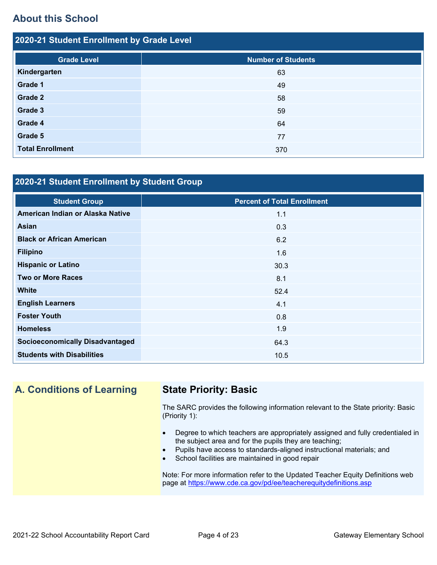# **About this School**

| 2020-21 Student Enrollment by Grade Level |                           |  |  |  |  |  |
|-------------------------------------------|---------------------------|--|--|--|--|--|
| <b>Grade Level</b>                        | <b>Number of Students</b> |  |  |  |  |  |
| Kindergarten                              | 63                        |  |  |  |  |  |
| Grade 1                                   | 49                        |  |  |  |  |  |
| Grade 2                                   | 58                        |  |  |  |  |  |
| Grade 3                                   | 59                        |  |  |  |  |  |
| Grade 4                                   | 64                        |  |  |  |  |  |
| Grade 5                                   | 77                        |  |  |  |  |  |
| <b>Total Enrollment</b>                   | 370                       |  |  |  |  |  |

## **2020-21 Student Enrollment by Student Group**

| <b>Student Group</b>                   | <b>Percent of Total Enrollment</b> |
|----------------------------------------|------------------------------------|
| American Indian or Alaska Native       | 1.1                                |
| Asian                                  | 0.3                                |
| <b>Black or African American</b>       | 6.2                                |
| <b>Filipino</b>                        | 1.6                                |
| <b>Hispanic or Latino</b>              | 30.3                               |
| <b>Two or More Races</b>               | 8.1                                |
| <b>White</b>                           | 52.4                               |
| <b>English Learners</b>                | 4.1                                |
| <b>Foster Youth</b>                    | 0.8                                |
| <b>Homeless</b>                        | 1.9                                |
| <b>Socioeconomically Disadvantaged</b> | 64.3                               |
| <b>Students with Disabilities</b>      | 10.5                               |

**A. Conditions of Learning State Priority: Basic**

The SARC provides the following information relevant to the State priority: Basic (Priority 1):

- Degree to which teachers are appropriately assigned and fully credentialed in the subject area and for the pupils they are teaching;
- Pupils have access to standards-aligned instructional materials; and
- School facilities are maintained in good repair

Note: For more information refer to the Updated Teacher Equity Definitions web page at<https://www.cde.ca.gov/pd/ee/teacherequitydefinitions.asp>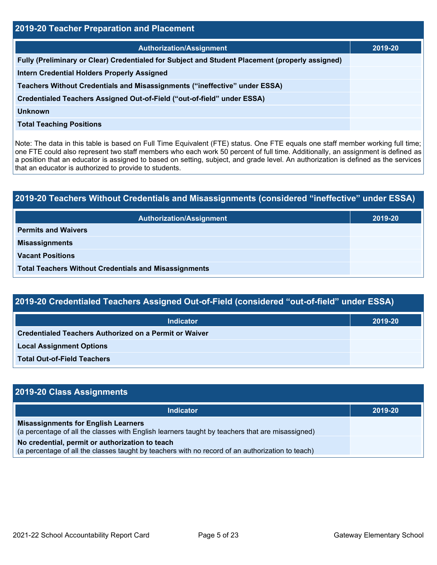| <b>2019-20 Teacher Preparation and Placement</b> |  |  |  |  |  |
|--------------------------------------------------|--|--|--|--|--|
| 2019-20                                          |  |  |  |  |  |
|                                                  |  |  |  |  |  |
|                                                  |  |  |  |  |  |
|                                                  |  |  |  |  |  |
|                                                  |  |  |  |  |  |
|                                                  |  |  |  |  |  |
|                                                  |  |  |  |  |  |
|                                                  |  |  |  |  |  |

Note: The data in this table is based on Full Time Equivalent (FTE) status. One FTE equals one staff member working full time; one FTE could also represent two staff members who each work 50 percent of full time. Additionally, an assignment is defined as a position that an educator is assigned to based on setting, subject, and grade level. An authorization is defined as the services that an educator is authorized to provide to students.

# **2019-20 Teachers Without Credentials and Misassignments (considered "ineffective" under ESSA) Authorization/Assignment 2019-20 Permits and Waivers Misassignments Vacant Positions Total Teachers Without Credentials and Misassignments**

| 2019-20 Credentialed Teachers Assigned Out-of-Field (considered "out-of-field" under ESSA) |         |  |  |  |  |
|--------------------------------------------------------------------------------------------|---------|--|--|--|--|
| <b>Indicator</b>                                                                           | 2019-20 |  |  |  |  |
| Credentialed Teachers Authorized on a Permit or Waiver                                     |         |  |  |  |  |
| <b>Local Assignment Options</b>                                                            |         |  |  |  |  |
| <b>Total Out-of-Field Teachers</b>                                                         |         |  |  |  |  |

| 2019-20 Class Assignments                                                                                                                           |         |
|-----------------------------------------------------------------------------------------------------------------------------------------------------|---------|
| <b>Indicator</b>                                                                                                                                    | 2019-20 |
| <b>Misassignments for English Learners</b><br>(a percentage of all the classes with English learners taught by teachers that are misassigned)       |         |
| No credential, permit or authorization to teach<br>(a percentage of all the classes taught by teachers with no record of an authorization to teach) |         |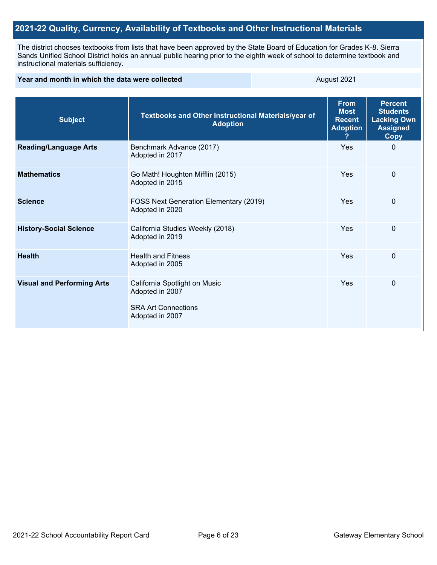## **2021-22 Quality, Currency, Availability of Textbooks and Other Instructional Materials**

The district chooses textbooks from lists that have been approved by the State Board of Education for Grades K-8. Sierra Sands Unified School District holds an annual public hearing prior to the eighth week of school to determine textbook and instructional materials sufficiency.

| Year and month in which the data were collected |                                                                                                   | August 2021                                                                        |             |              |  |
|-------------------------------------------------|---------------------------------------------------------------------------------------------------|------------------------------------------------------------------------------------|-------------|--------------|--|
| <b>Subject</b>                                  | Textbooks and Other Instructional Materials/year of                                               | <b>Percent</b><br><b>Students</b><br><b>Lacking Own</b><br><b>Assigned</b><br>Copy |             |              |  |
| <b>Reading/Language Arts</b>                    | Benchmark Advance (2017)<br>Adopted in 2017                                                       |                                                                                    | Yes         | $\Omega$     |  |
| <b>Mathematics</b>                              | Go Math! Houghton Mifflin (2015)<br>Adopted in 2015                                               |                                                                                    |             |              |  |
| <b>Science</b>                                  | FOSS Next Generation Elementary (2019)<br>Adopted in 2020                                         | Yes                                                                                | $\mathbf 0$ |              |  |
| <b>History-Social Science</b>                   | California Studies Weekly (2018)<br>Adopted in 2019                                               | Yes                                                                                | $\mathbf 0$ |              |  |
| <b>Health</b>                                   | <b>Health and Fitness</b><br>Adopted in 2005                                                      |                                                                                    | Yes         | $\mathbf{0}$ |  |
| <b>Visual and Performing Arts</b>               | California Spotlight on Music<br>Adopted in 2007<br><b>SRA Art Connections</b><br>Adopted in 2007 |                                                                                    | Yes         | 0            |  |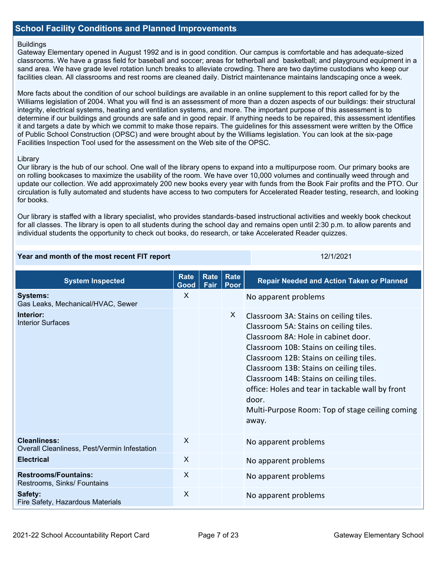#### **School Facility Conditions and Planned Improvements**

#### **Buildings**

Gateway Elementary opened in August 1992 and is in good condition. Our campus is comfortable and has adequate-sized classrooms. We have a grass field for baseball and soccer; areas for tetherball and basketball; and playground equipment in a sand area. We have grade level rotation lunch breaks to alleviate crowding. There are two daytime custodians who keep our facilities clean. All classrooms and rest rooms are cleaned daily. District maintenance maintains landscaping once a week.

More facts about the condition of our school buildings are available in an online supplement to this report called for by the Williams legislation of 2004. What you will find is an assessment of more than a dozen aspects of our buildings: their structural integrity, electrical systems, heating and ventilation systems, and more. The important purpose of this assessment is to determine if our buildings and grounds are safe and in good repair. If anything needs to be repaired, this assessment identifies it and targets a date by which we commit to make those repairs. The guidelines for this assessment were written by the Office of Public School Construction (OPSC) and were brought about by the Williams legislation. You can look at the six-page Facilities Inspection Tool used for the assessment on the Web site of the OPSC.

#### **Library**

Our library is the hub of our school. One wall of the library opens to expand into a multipurpose room. Our primary books are on rolling bookcases to maximize the usability of the room. We have over 10,000 volumes and continually weed through and update our collection. We add approximately 200 new books every year with funds from the Book Fair profits and the PTO. Our circulation is fully automated and students have access to two computers for Accelerated Reader testing, research, and looking for books.

Our library is staffed with a library specialist, who provides standards-based instructional activities and weekly book checkout for all classes. The library is open to all students during the school day and remains open until 2:30 p.m. to allow parents and individual students the opportunity to check out books, do research, or take Accelerated Reader quizzes.

#### **Year and month of the most recent FIT report** 12/1/2021 12/1/2021

| <b>System Inspected</b>                                             | <b>Rate</b><br>Good | Rate<br>Fair | Rate<br>Poor | <b>Repair Needed and Action Taken or Planned</b>                                                                                                                                                                                                                                                                                                                                                                             |
|---------------------------------------------------------------------|---------------------|--------------|--------------|------------------------------------------------------------------------------------------------------------------------------------------------------------------------------------------------------------------------------------------------------------------------------------------------------------------------------------------------------------------------------------------------------------------------------|
| <b>Systems:</b><br>Gas Leaks, Mechanical/HVAC, Sewer                | X                   |              |              | No apparent problems                                                                                                                                                                                                                                                                                                                                                                                                         |
| Interior:<br><b>Interior Surfaces</b>                               |                     |              | X            | Classroom 3A: Stains on ceiling tiles.<br>Classroom 5A: Stains on ceiling tiles.<br>Classroom 8A: Hole in cabinet door.<br>Classroom 10B: Stains on ceiling tiles.<br>Classroom 12B: Stains on ceiling tiles.<br>Classroom 13B: Stains on ceiling tiles.<br>Classroom 14B: Stains on ceiling tiles.<br>office: Holes and tear in tackable wall by front<br>door.<br>Multi-Purpose Room: Top of stage ceiling coming<br>away. |
| <b>Cleanliness:</b><br>Overall Cleanliness, Pest/Vermin Infestation | $\mathsf{X}$        |              |              | No apparent problems                                                                                                                                                                                                                                                                                                                                                                                                         |
| <b>Electrical</b>                                                   | X                   |              |              | No apparent problems                                                                                                                                                                                                                                                                                                                                                                                                         |
| <b>Restrooms/Fountains:</b><br>Restrooms, Sinks/ Fountains          | $\mathsf{X}$        |              |              | No apparent problems                                                                                                                                                                                                                                                                                                                                                                                                         |
| Safety:<br>Fire Safety, Hazardous Materials                         | X                   |              |              | No apparent problems                                                                                                                                                                                                                                                                                                                                                                                                         |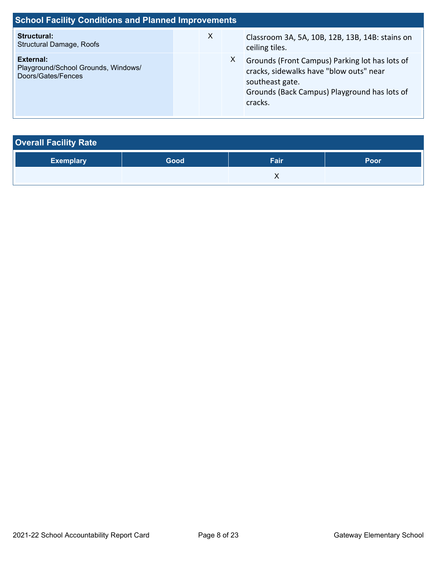| <b>School Facility Conditions and Planned Improvements</b>             |  |              |    |                                                                                                                                                                         |  |  |  |
|------------------------------------------------------------------------|--|--------------|----|-------------------------------------------------------------------------------------------------------------------------------------------------------------------------|--|--|--|
| Structural:<br><b>Structural Damage, Roofs</b>                         |  | $\mathsf{X}$ |    | Classroom 3A, 5A, 10B, 12B, 13B, 14B: stains on<br>ceiling tiles.                                                                                                       |  |  |  |
| External:<br>Playground/School Grounds, Windows/<br>Doors/Gates/Fences |  |              | X. | Grounds (Front Campus) Parking lot has lots of<br>cracks, sidewalks have "blow outs" near<br>southeast gate.<br>Grounds (Back Campus) Playground has lots of<br>cracks. |  |  |  |

| <b>Overall Facility Rate</b> |      |      |             |
|------------------------------|------|------|-------------|
| <b>Exemplary</b>             | Good | Fair | <b>Poor</b> |
|                              |      |      |             |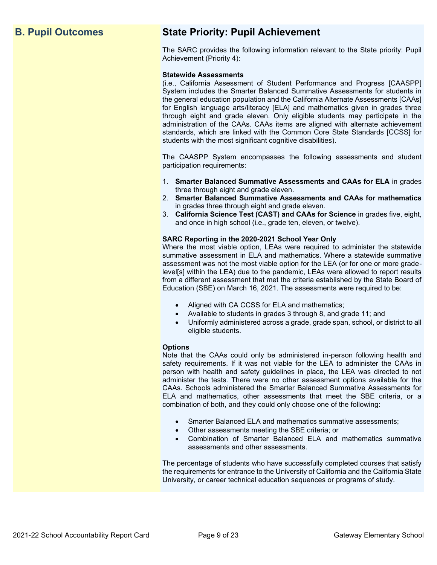# **B. Pupil Outcomes State Priority: Pupil Achievement**

The SARC provides the following information relevant to the State priority: Pupil Achievement (Priority 4):

#### **Statewide Assessments**

(i.e., California Assessment of Student Performance and Progress [CAASPP] System includes the Smarter Balanced Summative Assessments for students in the general education population and the California Alternate Assessments [CAAs] for English language arts/literacy [ELA] and mathematics given in grades three through eight and grade eleven. Only eligible students may participate in the administration of the CAAs. CAAs items are aligned with alternate achievement standards, which are linked with the Common Core State Standards [CCSS] for students with the most significant cognitive disabilities).

The CAASPP System encompasses the following assessments and student participation requirements:

- 1. **Smarter Balanced Summative Assessments and CAAs for ELA** in grades three through eight and grade eleven.
- 2. **Smarter Balanced Summative Assessments and CAAs for mathematics** in grades three through eight and grade eleven.
- 3. **California Science Test (CAST) and CAAs for Science** in grades five, eight, and once in high school (i.e., grade ten, eleven, or twelve).

#### **SARC Reporting in the 2020-2021 School Year Only**

Where the most viable option, LEAs were required to administer the statewide summative assessment in ELA and mathematics. Where a statewide summative assessment was not the most viable option for the LEA (or for one or more gradelevel[s] within the LEA) due to the pandemic, LEAs were allowed to report results from a different assessment that met the criteria established by the State Board of Education (SBE) on March 16, 2021. The assessments were required to be:

- Aligned with CA CCSS for ELA and mathematics;
- Available to students in grades 3 through 8, and grade 11; and
- Uniformly administered across a grade, grade span, school, or district to all eligible students.

#### **Options**

Note that the CAAs could only be administered in-person following health and safety requirements. If it was not viable for the LEA to administer the CAAs in person with health and safety guidelines in place, the LEA was directed to not administer the tests. There were no other assessment options available for the CAAs. Schools administered the Smarter Balanced Summative Assessments for ELA and mathematics, other assessments that meet the SBE criteria, or a combination of both, and they could only choose one of the following:

- Smarter Balanced ELA and mathematics summative assessments;
- Other assessments meeting the SBE criteria; or
- Combination of Smarter Balanced ELA and mathematics summative assessments and other assessments.

The percentage of students who have successfully completed courses that satisfy the requirements for entrance to the University of California and the California State University, or career technical education sequences or programs of study.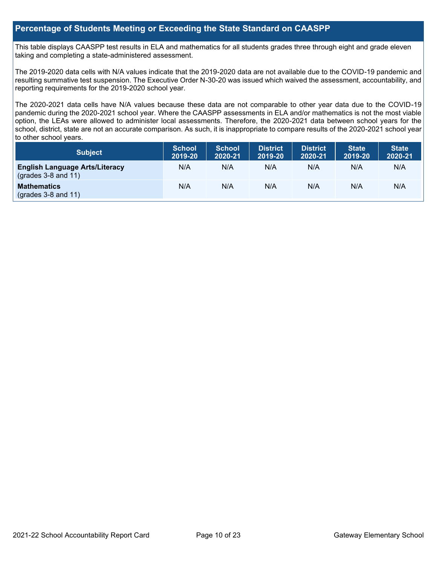#### **Percentage of Students Meeting or Exceeding the State Standard on CAASPP**

This table displays CAASPP test results in ELA and mathematics for all students grades three through eight and grade eleven taking and completing a state-administered assessment.

The 2019-2020 data cells with N/A values indicate that the 2019-2020 data are not available due to the COVID-19 pandemic and resulting summative test suspension. The Executive Order N-30-20 was issued which waived the assessment, accountability, and reporting requirements for the 2019-2020 school year.

The 2020-2021 data cells have N/A values because these data are not comparable to other year data due to the COVID-19 pandemic during the 2020-2021 school year. Where the CAASPP assessments in ELA and/or mathematics is not the most viable option, the LEAs were allowed to administer local assessments. Therefore, the 2020-2021 data between school years for the school, district, state are not an accurate comparison. As such, it is inappropriate to compare results of the 2020-2021 school year to other school years.

| <b>Subject</b>                                                       | <b>School</b><br>2019-20 | <b>School</b><br>2020-21 | <b>District</b><br>2019-20 | <b>District</b><br>2020-21 | <b>State</b><br>2019-20 | <b>State</b><br>2020-21 |
|----------------------------------------------------------------------|--------------------------|--------------------------|----------------------------|----------------------------|-------------------------|-------------------------|
| <b>English Language Arts/Literacy</b><br>$\left($ grades 3-8 and 11) | N/A                      | N/A                      | N/A                        | N/A                        | N/A                     | N/A                     |
| <b>Mathematics</b><br>$($ grades 3-8 and 11 $)$                      | N/A                      | N/A                      | N/A                        | N/A                        | N/A                     | N/A                     |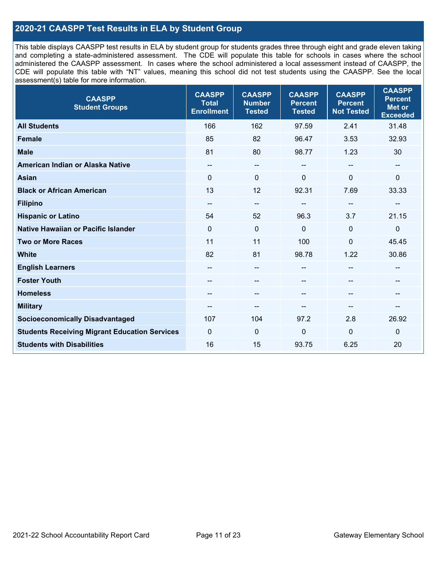### **2020-21 CAASPP Test Results in ELA by Student Group**

This table displays CAASPP test results in ELA by student group for students grades three through eight and grade eleven taking and completing a state-administered assessment. The CDE will populate this table for schools in cases where the school administered the CAASPP assessment. In cases where the school administered a local assessment instead of CAASPP, the CDE will populate this table with "NT" values, meaning this school did not test students using the CAASPP. See the local assessment(s) table for more information.

| <b>CAASPP</b><br><b>Student Groups</b>               | <b>CAASPP</b><br><b>Total</b><br><b>Enrollment</b> | <b>CAASPP</b><br><b>Number</b><br><b>Tested</b> | <b>CAASPP</b><br><b>Percent</b><br><b>Tested</b> | <b>CAASPP</b><br><b>Percent</b><br><b>Not Tested</b> | <b>CAASPP</b><br><b>Percent</b><br><b>Met or</b><br><b>Exceeded</b> |
|------------------------------------------------------|----------------------------------------------------|-------------------------------------------------|--------------------------------------------------|------------------------------------------------------|---------------------------------------------------------------------|
| <b>All Students</b>                                  | 166                                                | 162                                             | 97.59                                            | 2.41                                                 | 31.48                                                               |
| <b>Female</b>                                        | 85                                                 | 82                                              | 96.47                                            | 3.53                                                 | 32.93                                                               |
| <b>Male</b>                                          | 81                                                 | 80                                              | 98.77                                            | 1.23                                                 | 30                                                                  |
| American Indian or Alaska Native                     | --                                                 | $\overline{\phantom{m}}$                        | --                                               | $\sim$                                               | --                                                                  |
| <b>Asian</b>                                         | $\mathbf 0$                                        | 0                                               | $\Omega$                                         | 0                                                    | 0                                                                   |
| <b>Black or African American</b>                     | 13                                                 | 12                                              | 92.31                                            | 7.69                                                 | 33.33                                                               |
| <b>Filipino</b>                                      | --                                                 | $\overline{\phantom{a}}$                        | --                                               | $\sim$                                               |                                                                     |
| <b>Hispanic or Latino</b>                            | 54                                                 | 52                                              | 96.3                                             | 3.7                                                  | 21.15                                                               |
| <b>Native Hawaiian or Pacific Islander</b>           | $\Omega$                                           | $\mathbf 0$                                     | $\mathbf 0$                                      | $\mathbf 0$                                          | $\mathbf 0$                                                         |
| <b>Two or More Races</b>                             | 11                                                 | 11                                              | 100                                              | $\mathbf 0$                                          | 45.45                                                               |
| <b>White</b>                                         | 82                                                 | 81                                              | 98.78                                            | 1.22                                                 | 30.86                                                               |
| <b>English Learners</b>                              | --                                                 | $\overline{\phantom{m}}$                        | --                                               | --                                                   | --                                                                  |
| <b>Foster Youth</b>                                  |                                                    | $\qquad \qquad -$                               |                                                  |                                                      |                                                                     |
| <b>Homeless</b>                                      | --                                                 | $\overline{\phantom{a}}$                        | --                                               | $\overline{\phantom{a}}$                             | --                                                                  |
| <b>Military</b>                                      |                                                    | --                                              |                                                  | --                                                   | --                                                                  |
| <b>Socioeconomically Disadvantaged</b>               | 107                                                | 104                                             | 97.2                                             | 2.8                                                  | 26.92                                                               |
| <b>Students Receiving Migrant Education Services</b> | $\Omega$                                           | $\mathbf 0$                                     | $\mathbf 0$                                      | $\overline{0}$                                       | 0                                                                   |
| <b>Students with Disabilities</b>                    | 16                                                 | 15                                              | 93.75                                            | 6.25                                                 | 20                                                                  |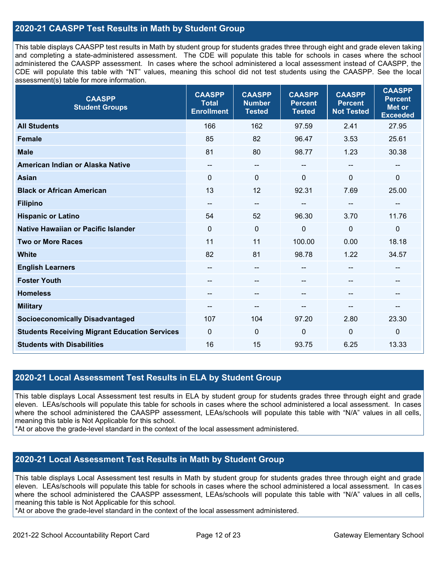### **2020-21 CAASPP Test Results in Math by Student Group**

This table displays CAASPP test results in Math by student group for students grades three through eight and grade eleven taking and completing a state-administered assessment. The CDE will populate this table for schools in cases where the school administered the CAASPP assessment. In cases where the school administered a local assessment instead of CAASPP, the CDE will populate this table with "NT" values, meaning this school did not test students using the CAASPP. See the local assessment(s) table for more information.

| <b>CAASPP</b><br><b>Student Groups</b>               | <b>CAASPP</b><br><b>Total</b><br><b>Enrollment</b> | <b>CAASPP</b><br><b>Number</b><br><b>Tested</b> | <b>CAASPP</b><br><b>Percent</b><br><b>Tested</b> | <b>CAASPP</b><br><b>Percent</b><br><b>Not Tested</b> | <b>CAASPP</b><br><b>Percent</b><br><b>Met or</b><br><b>Exceeded</b> |
|------------------------------------------------------|----------------------------------------------------|-------------------------------------------------|--------------------------------------------------|------------------------------------------------------|---------------------------------------------------------------------|
| <b>All Students</b>                                  | 166                                                | 162                                             | 97.59                                            | 2.41                                                 | 27.95                                                               |
| <b>Female</b>                                        | 85                                                 | 82                                              | 96.47                                            | 3.53                                                 | 25.61                                                               |
| <b>Male</b>                                          | 81                                                 | 80                                              | 98.77                                            | 1.23                                                 | 30.38                                                               |
| American Indian or Alaska Native                     | $\qquad \qquad -$                                  | --                                              | $\overline{\phantom{a}}$                         | $\overline{\phantom{a}}$                             | $\overline{\phantom{a}}$                                            |
| <b>Asian</b>                                         | $\mathbf 0$                                        | 0                                               | $\mathbf 0$                                      | 0                                                    | $\pmb{0}$                                                           |
| <b>Black or African American</b>                     | 13                                                 | 12                                              | 92.31                                            | 7.69                                                 | 25.00                                                               |
| <b>Filipino</b>                                      | --                                                 | --                                              | $\sim$ $\sim$                                    | --                                                   | $-$                                                                 |
| <b>Hispanic or Latino</b>                            | 54                                                 | 52                                              | 96.30                                            | 3.70                                                 | 11.76                                                               |
| Native Hawaiian or Pacific Islander                  | $\mathbf 0$                                        | $\mathbf 0$                                     | $\mathbf 0$                                      | $\mathbf{0}$                                         | $\mathbf 0$                                                         |
| <b>Two or More Races</b>                             | 11                                                 | 11                                              | 100.00                                           | 0.00                                                 | 18.18                                                               |
| <b>White</b>                                         | 82                                                 | 81                                              | 98.78                                            | 1.22                                                 | 34.57                                                               |
| <b>English Learners</b>                              |                                                    | --                                              | --                                               | --                                                   | --                                                                  |
| <b>Foster Youth</b>                                  | --                                                 | --                                              |                                                  |                                                      |                                                                     |
| <b>Homeless</b>                                      | $\qquad \qquad -$                                  | --                                              | --                                               | --                                                   | $\hspace{0.05cm}$                                                   |
| <b>Military</b>                                      | --                                                 | --                                              | --                                               | --                                                   | --                                                                  |
| <b>Socioeconomically Disadvantaged</b>               | 107                                                | 104                                             | 97.20                                            | 2.80                                                 | 23.30                                                               |
| <b>Students Receiving Migrant Education Services</b> | 0                                                  | 0                                               | 0                                                | $\Omega$                                             | $\mathbf 0$                                                         |
| <b>Students with Disabilities</b>                    | 16                                                 | 15                                              | 93.75                                            | 6.25                                                 | 13.33                                                               |

#### **2020-21 Local Assessment Test Results in ELA by Student Group**

This table displays Local Assessment test results in ELA by student group for students grades three through eight and grade eleven. LEAs/schools will populate this table for schools in cases where the school administered a local assessment. In cases where the school administered the CAASPP assessment, LEAs/schools will populate this table with "N/A" values in all cells, meaning this table is Not Applicable for this school.

\*At or above the grade-level standard in the context of the local assessment administered.

### **2020-21 Local Assessment Test Results in Math by Student Group**

This table displays Local Assessment test results in Math by student group for students grades three through eight and grade eleven. LEAs/schools will populate this table for schools in cases where the school administered a local assessment. In cases where the school administered the CAASPP assessment, LEAs/schools will populate this table with "N/A" values in all cells, meaning this table is Not Applicable for this school.

\*At or above the grade-level standard in the context of the local assessment administered.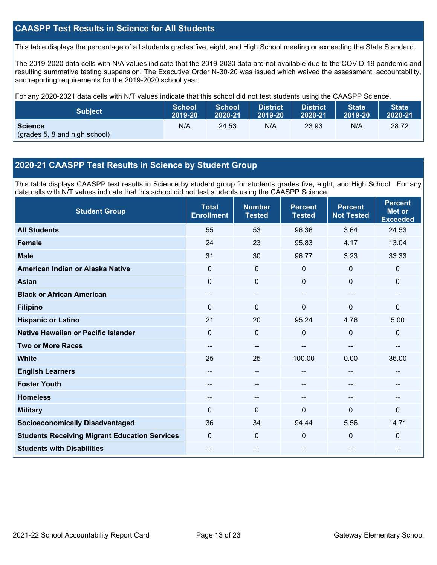### **CAASPP Test Results in Science for All Students**

This table displays the percentage of all students grades five, eight, and High School meeting or exceeding the State Standard.

The 2019-2020 data cells with N/A values indicate that the 2019-2020 data are not available due to the COVID-19 pandemic and resulting summative testing suspension. The Executive Order N-30-20 was issued which waived the assessment, accountability, and reporting requirements for the 2019-2020 school year.

For any 2020-2021 data cells with N/T values indicate that this school did not test students using the CAASPP Science.

| <b>Subject</b>                                  | <b>School</b> | <b>School</b> | <b>District</b> | <b>District</b> | <b>State</b> | <b>State</b> |
|-------------------------------------------------|---------------|---------------|-----------------|-----------------|--------------|--------------|
|                                                 | 2019-20       | 2020-21       | 2019-20         | 2020-21         | 2019-20      | 2020-21      |
| <b>Science</b><br>(grades 5, 8 and high school) | N/A           | 24.53         | N/A             | 23.93           | N/A          | 28.72        |

#### **2020-21 CAASPP Test Results in Science by Student Group**

This table displays CAASPP test results in Science by student group for students grades five, eight, and High School. For any data cells with N/T values indicate that this school did not test students using the CAASPP Science.

| <b>Student Group</b>                                 | <b>Total</b><br><b>Enrollment</b> | <b>Number</b><br><b>Tested</b> | <b>Percent</b><br><b>Tested</b> | <b>Percent</b><br><b>Not Tested</b> | <b>Percent</b><br><b>Met or</b><br><b>Exceeded</b> |
|------------------------------------------------------|-----------------------------------|--------------------------------|---------------------------------|-------------------------------------|----------------------------------------------------|
| <b>All Students</b>                                  | 55                                | 53                             | 96.36                           | 3.64                                | 24.53                                              |
| <b>Female</b>                                        | 24                                | 23                             | 95.83                           | 4.17                                | 13.04                                              |
| <b>Male</b>                                          | 31                                | 30                             | 96.77                           | 3.23                                | 33.33                                              |
| American Indian or Alaska Native                     | $\Omega$                          | $\mathbf 0$                    | $\Omega$                        | $\mathbf{0}$                        | $\Omega$                                           |
| <b>Asian</b>                                         | $\Omega$                          | $\pmb{0}$                      | $\mathbf 0$                     | 0                                   | 0                                                  |
| <b>Black or African American</b>                     | --                                | $\overline{\phantom{a}}$       |                                 | --                                  | $\sim$                                             |
| <b>Filipino</b>                                      | $\Omega$                          | $\mathbf{0}$                   | 0                               | $\Omega$                            | 0                                                  |
| <b>Hispanic or Latino</b>                            | 21                                | 20                             | 95.24                           | 4.76                                | 5.00                                               |
| Native Hawaiian or Pacific Islander                  | 0                                 | $\mathbf 0$                    | 0                               | 0                                   | 0                                                  |
| <b>Two or More Races</b>                             | --                                | $\sim$                         | --                              | --                                  | --                                                 |
| <b>White</b>                                         | 25                                | 25                             | 100.00                          | 0.00                                | 36.00                                              |
| <b>English Learners</b>                              | --                                | $\overline{\phantom{a}}$       | --                              | --                                  | $-$                                                |
| <b>Foster Youth</b>                                  | --                                | $\qquad \qquad -$              |                                 | --                                  | --                                                 |
| <b>Homeless</b>                                      | --                                | --                             |                                 |                                     | --                                                 |
| <b>Military</b>                                      | $\Omega$                          | $\mathbf{0}$                   | 0                               | $\Omega$                            | 0                                                  |
| <b>Socioeconomically Disadvantaged</b>               | 36                                | 34                             | 94.44                           | 5.56                                | 14.71                                              |
| <b>Students Receiving Migrant Education Services</b> | 0                                 | $\mathbf 0$                    | $\Omega$                        | $\Omega$                            | 0                                                  |
| <b>Students with Disabilities</b>                    | --                                | $\sim$                         | $\overline{a}$                  | --                                  | $\overline{\phantom{a}}$                           |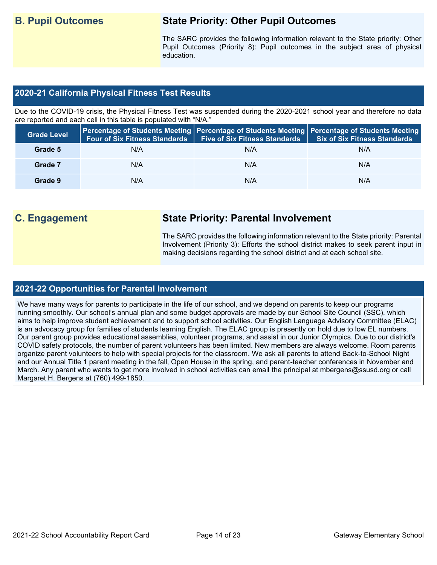# **B. Pupil Outcomes State Priority: Other Pupil Outcomes**

The SARC provides the following information relevant to the State priority: Other Pupil Outcomes (Priority 8): Pupil outcomes in the subject area of physical education.

#### **2020-21 California Physical Fitness Test Results**

Due to the COVID-19 crisis, the Physical Fitness Test was suspended during the 2020-2021 school year and therefore no data are reported and each cell in this table is populated with "N/A."

| <b>Grade Level</b> | <b>Four of Six Fitness Standards</b> | <b>Five of Six Fitness Standards</b> | Percentage of Students Meeting   Percentage of Students Meeting   Percentage of Students Meeting  <br><b>Six of Six Fitness Standards</b> |
|--------------------|--------------------------------------|--------------------------------------|-------------------------------------------------------------------------------------------------------------------------------------------|
| Grade 5            | N/A                                  | N/A                                  | N/A                                                                                                                                       |
| Grade 7            | N/A                                  | N/A                                  | N/A                                                                                                                                       |
| Grade 9            | N/A                                  | N/A                                  | N/A                                                                                                                                       |

# **C. Engagement State Priority: Parental Involvement**

The SARC provides the following information relevant to the State priority: Parental Involvement (Priority 3): Efforts the school district makes to seek parent input in making decisions regarding the school district and at each school site.

#### **2021-22 Opportunities for Parental Involvement**

We have many ways for parents to participate in the life of our school, and we depend on parents to keep our programs running smoothly. Our school's annual plan and some budget approvals are made by our School Site Council (SSC), which aims to help improve student achievement and to support school activities. Our English Language Advisory Committee (ELAC) is an advocacy group for families of students learning English. The ELAC group is presently on hold due to low EL numbers. Our parent group provides educational assemblies, volunteer programs, and assist in our Junior Olympics. Due to our district's COVID safety protocols, the number of parent volunteers has been limited. New members are always welcome. Room parents organize parent volunteers to help with special projects for the classroom. We ask all parents to attend Back-to-School Night and our Annual Title 1 parent meeting in the fall, Open House in the spring, and parent-teacher conferences in November and March. Any parent who wants to get more involved in school activities can email the principal at mbergens@ssusd.org or call Margaret H. Bergens at (760) 499-1850.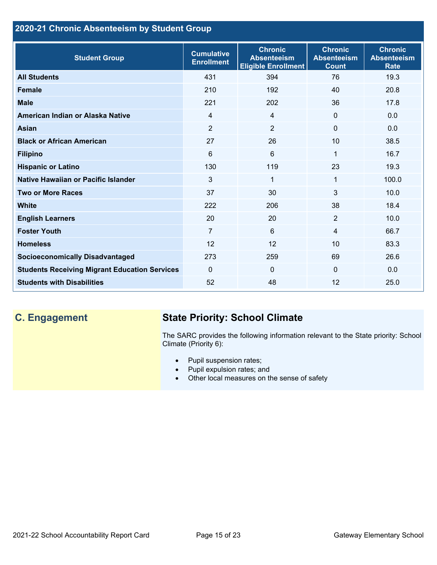## **2020-21 Chronic Absenteeism by Student Group**

| <b>Student Group</b>                                 | <b>Cumulative</b><br><b>Enrollment</b> | <b>Chronic</b><br><b>Absenteeism</b><br><b>Eligible Enrollment</b> | <b>Chronic</b><br><b>Absenteeism</b><br><b>Count</b> | <b>Chronic</b><br><b>Absenteeism</b><br><b>Rate</b> |
|------------------------------------------------------|----------------------------------------|--------------------------------------------------------------------|------------------------------------------------------|-----------------------------------------------------|
| <b>All Students</b>                                  | 431                                    | 394                                                                | 76                                                   | 19.3                                                |
| <b>Female</b>                                        | 210                                    | 192                                                                | 40                                                   | 20.8                                                |
| <b>Male</b>                                          | 221                                    | 202                                                                | 36                                                   | 17.8                                                |
| American Indian or Alaska Native                     | $\overline{4}$                         | $\overline{4}$                                                     | $\mathbf{0}$                                         | 0.0                                                 |
| <b>Asian</b>                                         | $\overline{2}$                         | $\overline{2}$                                                     | $\mathbf 0$                                          | 0.0                                                 |
| <b>Black or African American</b>                     | 27                                     | 26                                                                 | 10                                                   | 38.5                                                |
| <b>Filipino</b>                                      | 6                                      | $6\phantom{1}$                                                     | 1                                                    | 16.7                                                |
| <b>Hispanic or Latino</b>                            | 130                                    | 119                                                                | 23                                                   | 19.3                                                |
| Native Hawaiian or Pacific Islander                  | 3                                      | 1                                                                  | 1                                                    | 100.0                                               |
| <b>Two or More Races</b>                             | 37                                     | 30                                                                 | 3                                                    | 10.0                                                |
| <b>White</b>                                         | 222                                    | 206                                                                | 38                                                   | 18.4                                                |
| <b>English Learners</b>                              | 20                                     | 20                                                                 | $\overline{2}$                                       | 10.0                                                |
| <b>Foster Youth</b>                                  | $\overline{7}$                         | $6\phantom{1}$                                                     | $\overline{4}$                                       | 66.7                                                |
| <b>Homeless</b>                                      | 12                                     | 12                                                                 | 10                                                   | 83.3                                                |
| <b>Socioeconomically Disadvantaged</b>               | 273                                    | 259                                                                | 69                                                   | 26.6                                                |
| <b>Students Receiving Migrant Education Services</b> | $\mathbf{0}$                           | $\mathbf{0}$                                                       | $\Omega$                                             | 0.0                                                 |
| <b>Students with Disabilities</b>                    | 52                                     | 48                                                                 | 12                                                   | 25.0                                                |

# **C. Engagement State Priority: School Climate**

The SARC provides the following information relevant to the State priority: School Climate (Priority 6):

- Pupil suspension rates;
- Pupil expulsion rates; and
- Other local measures on the sense of safety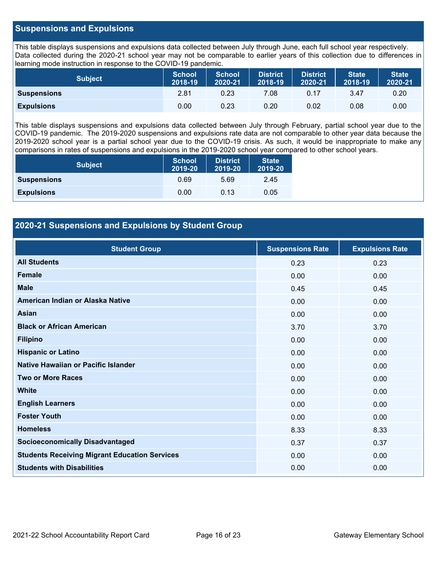#### **Suspensions and Expulsions**

This table displays suspensions and expulsions data collected between July through June, each full school year respectively. Data collected during the 2020-21 school year may not be comparable to earlier years of this collection due to differences in learning mode instruction in response to the COVID-19 pandemic.

| <b>Subject</b>     | <b>School</b><br>2018-19 | <b>School</b><br>2020-21 | <b>District</b><br>2018-19 | <b>District</b><br>2020-21 | <b>State</b><br>2018-19 | <b>State</b><br>2020-21 |
|--------------------|--------------------------|--------------------------|----------------------------|----------------------------|-------------------------|-------------------------|
| <b>Suspensions</b> | 2.81                     | 0.23                     | 7.08                       | 0.17                       | 3.47                    | 0.20                    |
| <b>Expulsions</b>  | 0.00                     | 0.23                     | 0.20                       | 0.02                       | 0.08                    | 0.00                    |

This table displays suspensions and expulsions data collected between July through February, partial school year due to the COVID-19 pandemic. The 2019-2020 suspensions and expulsions rate data are not comparable to other year data because the 2019-2020 school year is a partial school year due to the COVID-19 crisis. As such, it would be inappropriate to make any comparisons in rates of suspensions and expulsions in the 2019-2020 school year compared to other school years.

| <b>Subject</b>     | <b>School</b><br>2019-20 | <b>District</b><br>2019-20 | <b>State</b><br>2019-20 |
|--------------------|--------------------------|----------------------------|-------------------------|
| <b>Suspensions</b> | 0.69                     | 5.69                       | 2.45                    |
| <b>Expulsions</b>  | 0.00                     | 0.13                       | 0.05                    |

### **2020-21 Suspensions and Expulsions by Student Group**

| <b>Student Group</b>                                 | <b>Suspensions Rate</b> | <b>Expulsions Rate</b> |
|------------------------------------------------------|-------------------------|------------------------|
| <b>All Students</b>                                  | 0.23                    | 0.23                   |
| <b>Female</b>                                        | 0.00                    | 0.00                   |
| <b>Male</b>                                          | 0.45                    | 0.45                   |
| American Indian or Alaska Native                     | 0.00                    | 0.00                   |
| <b>Asian</b>                                         | 0.00                    | 0.00                   |
| <b>Black or African American</b>                     | 3.70                    | 3.70                   |
| <b>Filipino</b>                                      | 0.00                    | 0.00                   |
| <b>Hispanic or Latino</b>                            | 0.00                    | 0.00                   |
| Native Hawaiian or Pacific Islander                  | 0.00                    | 0.00                   |
| <b>Two or More Races</b>                             | 0.00                    | 0.00                   |
| <b>White</b>                                         | 0.00                    | 0.00                   |
| <b>English Learners</b>                              | 0.00                    | 0.00                   |
| <b>Foster Youth</b>                                  | 0.00                    | 0.00                   |
| <b>Homeless</b>                                      | 8.33                    | 8.33                   |
| <b>Socioeconomically Disadvantaged</b>               | 0.37                    | 0.37                   |
| <b>Students Receiving Migrant Education Services</b> | 0.00                    | 0.00                   |
| <b>Students with Disabilities</b>                    | 0.00                    | 0.00                   |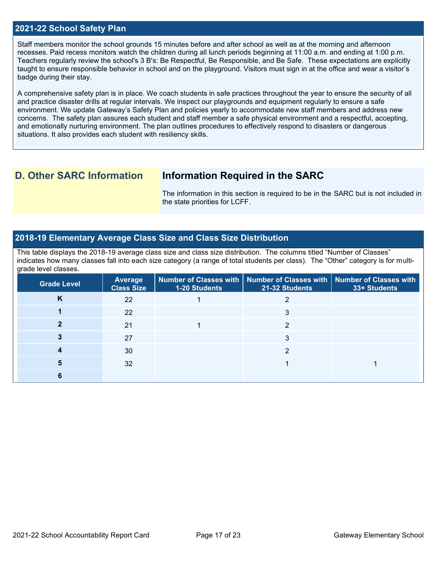#### **2021-22 School Safety Plan**

Staff members monitor the school grounds 15 minutes before and after school as well as at the morning and afternoon recesses. Paid recess monitors watch the children during all lunch periods beginning at 11:00 a.m. and ending at 1:00 p.m. Teachers regularly review the school's 3 B's: Be Respectful, Be Responsible, and Be Safe. These expectations are explicitly taught to ensure responsible behavior in school and on the playground. Visitors must sign in at the office and wear a visitor's badge during their stay.

A comprehensive safety plan is in place. We coach students in safe practices throughout the year to ensure the security of all and practice disaster drills at regular intervals. We inspect our playgrounds and equipment regularly to ensure a safe environment. We update Gateway's Safety Plan and policies yearly to accommodate new staff members and address new concerns. The safety plan assures each student and staff member a safe physical environment and a respectful, accepting, and emotionally nurturing environment. The plan outlines procedures to effectively respond to disasters or dangerous situations. It also provides each student with resiliency skills.

## **D. Other SARC Information Information Required in the SARC**

The information in this section is required to be in the SARC but is not included in the state priorities for LCFF.

#### **2018-19 Elementary Average Class Size and Class Size Distribution**

This table displays the 2018-19 average class size and class size distribution. The columns titled "Number of Classes" indicates how many classes fall into each size category (a range of total students per class). The "Other" category is for multigrade level classes.

| <b>Grade Level</b> | <b>Average</b><br><b>Class Size</b> | <b>1-20 Students</b> | Number of Classes with   Number of Classes with   Number of Classes with<br>21-32 Students | 33+ Students |
|--------------------|-------------------------------------|----------------------|--------------------------------------------------------------------------------------------|--------------|
| n                  | 22                                  |                      |                                                                                            |              |
|                    | 22                                  |                      |                                                                                            |              |
|                    | 21                                  |                      | ⌒                                                                                          |              |
|                    | 27                                  |                      |                                                                                            |              |
|                    | 30                                  |                      | ≘                                                                                          |              |
|                    | 32                                  |                      |                                                                                            |              |
|                    |                                     |                      |                                                                                            |              |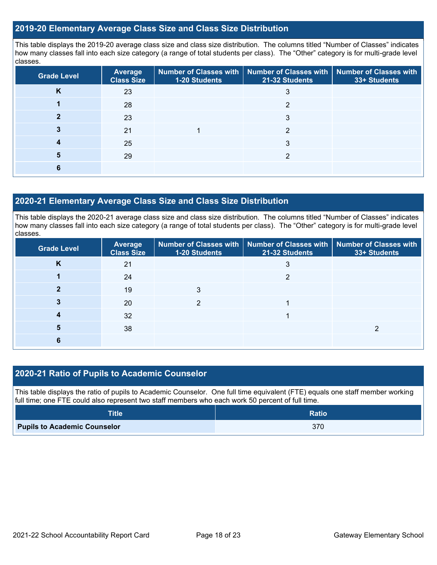#### **2019-20 Elementary Average Class Size and Class Size Distribution**

This table displays the 2019-20 average class size and class size distribution. The columns titled "Number of Classes" indicates how many classes fall into each size category (a range of total students per class). The "Other" category is for multi-grade level classes.

| <b>Grade Level</b> | <b>Average</b><br><b>Class Size</b> | 1-20 Students | Number of Classes with   Number of Classes with   Number of Classes with<br>21-32 Students | 33+ Students |
|--------------------|-------------------------------------|---------------|--------------------------------------------------------------------------------------------|--------------|
| <b>n</b>           | 23                                  |               | 3                                                                                          |              |
|                    | 28                                  |               | հ                                                                                          |              |
|                    | 23                                  |               | 3                                                                                          |              |
|                    | 21                                  |               | 2                                                                                          |              |
|                    | 25                                  |               | 3                                                                                          |              |
| 5                  | 29                                  |               | າ                                                                                          |              |
|                    |                                     |               |                                                                                            |              |

#### **2020-21 Elementary Average Class Size and Class Size Distribution**

This table displays the 2020-21 average class size and class size distribution. The columns titled "Number of Classes" indicates how many classes fall into each size category (a range of total students per class). The "Other" category is for multi-grade level classes.

| <b>Grade Level</b> | <b>Average</b><br><b>Class Size</b> | 1-20 Students | Number of Classes with   Number of Classes with   Number of Classes with<br>21-32 Students | 33+ Students |
|--------------------|-------------------------------------|---------------|--------------------------------------------------------------------------------------------|--------------|
| Κ                  | 21                                  |               |                                                                                            |              |
|                    | 24                                  |               | っ                                                                                          |              |
|                    | 19                                  | 3             |                                                                                            |              |
|                    | 20                                  |               |                                                                                            |              |
|                    | 32                                  |               |                                                                                            |              |
| 5                  | 38                                  |               |                                                                                            |              |
|                    |                                     |               |                                                                                            |              |

### **2020-21 Ratio of Pupils to Academic Counselor**

This table displays the ratio of pupils to Academic Counselor. One full time equivalent (FTE) equals one staff member working full time; one FTE could also represent two staff members who each work 50 percent of full time.

| <b>Title</b>                        | <b>Ratio</b> |
|-------------------------------------|--------------|
| <b>Pupils to Academic Counselor</b> | 370          |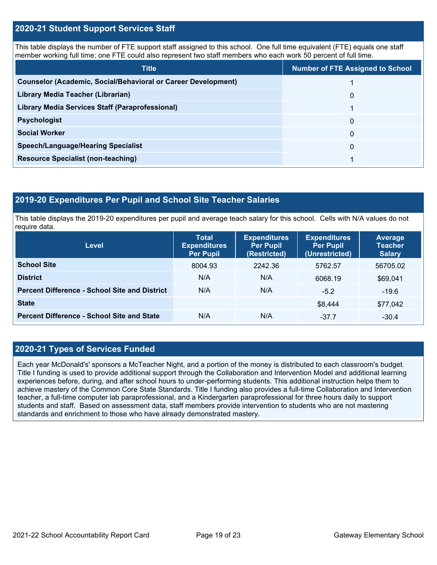#### **2020-21 Student Support Services Staff**

This table displays the number of FTE support staff assigned to this school. One full time equivalent (FTE) equals one staff member working full time; one FTE could also represent two staff members who each work 50 percent of full time.

| <b>Title</b>                                                         | <b>Number of FTE Assigned to School</b> |
|----------------------------------------------------------------------|-----------------------------------------|
| <b>Counselor (Academic, Social/Behavioral or Career Development)</b> |                                         |
| Library Media Teacher (Librarian)                                    | 0                                       |
| Library Media Services Staff (Paraprofessional)                      |                                         |
| <b>Psychologist</b>                                                  | 0                                       |
| <b>Social Worker</b>                                                 | $\Omega$                                |
| <b>Speech/Language/Hearing Specialist</b>                            | 0                                       |
| <b>Resource Specialist (non-teaching)</b>                            |                                         |

#### **2019-20 Expenditures Per Pupil and School Site Teacher Salaries**

This table displays the 2019-20 expenditures per pupil and average teach salary for this school. Cells with N/A values do not require data.

| <b>Level</b>                                         | <b>Total</b><br><b>Expenditures</b><br><b>Per Pupil</b> | <b>Expenditures</b><br><b>Per Pupil</b><br>(Restricted) | <b>Expenditures</b><br><b>Per Pupil</b><br>(Unrestricted) | <b>Average</b><br><b>Teacher</b><br><b>Salary</b> |
|------------------------------------------------------|---------------------------------------------------------|---------------------------------------------------------|-----------------------------------------------------------|---------------------------------------------------|
| <b>School Site</b>                                   | 8004.93                                                 | 2242.36                                                 | 5762.57                                                   | 56705.02                                          |
| <b>District</b>                                      | N/A                                                     | N/A                                                     | 6068.19                                                   | \$69,041                                          |
| <b>Percent Difference - School Site and District</b> | N/A                                                     | N/A                                                     | $-5.2$                                                    | $-19.6$                                           |
| <b>State</b>                                         |                                                         |                                                         | \$8,444                                                   | \$77,042                                          |
| <b>Percent Difference - School Site and State</b>    | N/A                                                     | N/A                                                     | $-37.7$                                                   | $-30.4$                                           |

### **2020-21 Types of Services Funded**

Each year McDonald's' sponsors a McTeacher Night, and a portion of the money is distributed to each classroom's budget. Title I funding is used to provide additional support through the Collaboration and Intervention Model and additional learning experiences before, during, and after school hours to under-performing students. This additional instruction helps them to achieve mastery of the Common Core State Standards. Title I funding also provides a full-time Collaboration and Intervention teacher, a full-time computer lab paraprofessional, and a Kindergarten paraprofessional for three hours daily to support students and staff. Based on assessment data, staff members provide intervention to students who are not mastering standards and enrichment to those who have already demonstrated mastery.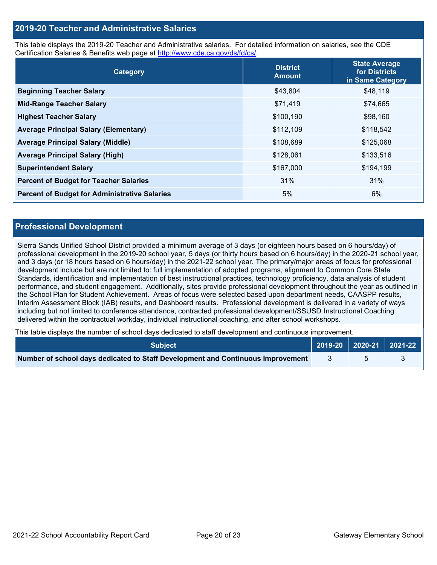#### **2019-20 Teacher and Administrative Salaries**

This table displays the 2019-20 Teacher and Administrative salaries. For detailed information on salaries, see the CDE Certification Salaries & Benefits web page at [http://www.cde.ca.gov/ds/fd/cs/.](http://www.cde.ca.gov/ds/fd/cs/)

| Category                                             | <b>District</b><br><b>Amount</b> | <b>State Average</b><br>for Districts<br>in Same Category |
|------------------------------------------------------|----------------------------------|-----------------------------------------------------------|
| <b>Beginning Teacher Salary</b>                      | \$43,804                         | \$48,119                                                  |
| <b>Mid-Range Teacher Salary</b>                      | \$71,419                         | \$74,665                                                  |
| <b>Highest Teacher Salary</b>                        | \$100,190                        | \$98,160                                                  |
| <b>Average Principal Salary (Elementary)</b>         | \$112,109                        | \$118,542                                                 |
| <b>Average Principal Salary (Middle)</b>             | \$108,689                        | \$125,068                                                 |
| <b>Average Principal Salary (High)</b>               | \$128,061                        | \$133,516                                                 |
| <b>Superintendent Salary</b>                         | \$167,000                        | \$194,199                                                 |
| <b>Percent of Budget for Teacher Salaries</b>        | 31%                              | 31%                                                       |
| <b>Percent of Budget for Administrative Salaries</b> | 5%                               | 6%                                                        |

#### **Professional Development**

Sierra Sands Unified School District provided a minimum average of 3 days (or eighteen hours based on 6 hours/day) of professional development in the 2019-20 school year, 5 days (or thirty hours based on 6 hours/day) in the 2020-21 school year, and 3 days (or 18 hours based on 6 hours/day) in the 2021-22 school year. The primary/major areas of focus for professional development include but are not limited to: full implementation of adopted programs, alignment to Common Core State Standards, identification and implementation of best instructional practices, technology proficiency, data analysis of student performance, and student engagement. Additionally, sites provide professional development throughout the year as outlined in the School Plan for Student Achievement. Areas of focus were selected based upon department needs, CAASPP results, Interim Assessment Block (IAB) results, and Dashboard results. Professional development is delivered in a variety of ways including but not limited to conference attendance, contracted professional development/SSUSD Instructional Coaching delivered within the contractual workday, individual instructional coaching, and after school workshops.

This table displays the number of school days dedicated to staff development and continuous improvement.

| <b>Subiect</b> \                                                                |  | 2019-20   2020-21   2021-22 |  |
|---------------------------------------------------------------------------------|--|-----------------------------|--|
| Number of school days dedicated to Staff Development and Continuous Improvement |  |                             |  |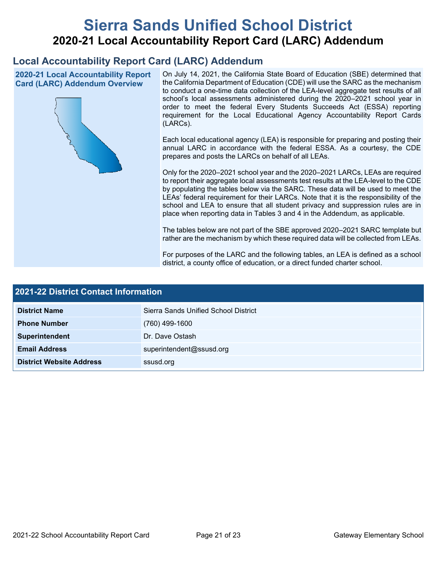# **Sierra Sands Unified School District 2020-21 Local Accountability Report Card (LARC) Addendum**

# **Local Accountability Report Card (LARC) Addendum**

**2020-21 Local Accountability Report Card (LARC) Addendum Overview**



On July 14, 2021, the California State Board of Education (SBE) determined that the California Department of Education (CDE) will use the SARC as the mechanism to conduct a one-time data collection of the LEA-level aggregate test results of all school's local assessments administered during the 2020–2021 school year in order to meet the federal Every Students Succeeds Act (ESSA) reporting requirement for the Local Educational Agency Accountability Report Cards (LARCs).

Each local educational agency (LEA) is responsible for preparing and posting their annual LARC in accordance with the federal ESSA. As a courtesy, the CDE prepares and posts the LARCs on behalf of all LEAs.

Only for the 2020–2021 school year and the 2020–2021 LARCs, LEAs are required to report their aggregate local assessments test results at the LEA-level to the CDE by populating the tables below via the SARC. These data will be used to meet the LEAs' federal requirement for their LARCs. Note that it is the responsibility of the school and LEA to ensure that all student privacy and suppression rules are in place when reporting data in Tables 3 and 4 in the Addendum, as applicable.

The tables below are not part of the SBE approved 2020–2021 SARC template but rather are the mechanism by which these required data will be collected from LEAs.

For purposes of the LARC and the following tables, an LEA is defined as a school district, a county office of education, or a direct funded charter school.

| 2021-22 District Contact Information |                                      |  |  |  |
|--------------------------------------|--------------------------------------|--|--|--|
| <b>District Name</b>                 | Sierra Sands Unified School District |  |  |  |
| <b>Phone Number</b>                  | $(760)$ 499-1600                     |  |  |  |
| Superintendent                       | Dr. Dave Ostash                      |  |  |  |
| <b>Email Address</b>                 | superintendent@ssusd.org             |  |  |  |
| <b>District Website Address</b>      | ssusd.org                            |  |  |  |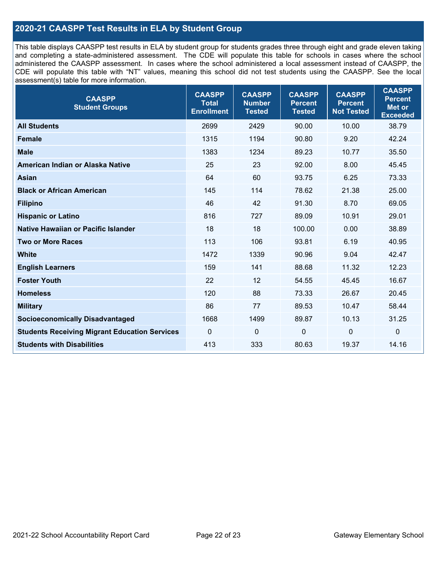### **2020-21 CAASPP Test Results in ELA by Student Group**

This table displays CAASPP test results in ELA by student group for students grades three through eight and grade eleven taking and completing a state-administered assessment. The CDE will populate this table for schools in cases where the school administered the CAASPP assessment. In cases where the school administered a local assessment instead of CAASPP, the CDE will populate this table with "NT" values, meaning this school did not test students using the CAASPP. See the local assessment(s) table for more information.

| <b>CAASPP</b><br><b>Student Groups</b>               | <b>CAASPP</b><br><b>Total</b><br><b>Enrollment</b> | <b>CAASPP</b><br><b>Number</b><br><b>Tested</b> | <b>CAASPP</b><br><b>Percent</b><br><b>Tested</b> | <b>CAASPP</b><br><b>Percent</b><br><b>Not Tested</b> | <b>CAASPP</b><br><b>Percent</b><br><b>Met or</b><br><b>Exceeded</b> |
|------------------------------------------------------|----------------------------------------------------|-------------------------------------------------|--------------------------------------------------|------------------------------------------------------|---------------------------------------------------------------------|
| <b>All Students</b>                                  | 2699                                               | 2429                                            | 90.00                                            | 10.00                                                | 38.79                                                               |
| <b>Female</b>                                        | 1315                                               | 1194                                            | 90.80                                            | 9.20                                                 | 42.24                                                               |
| <b>Male</b>                                          | 1383                                               | 1234                                            | 89.23                                            | 10.77                                                | 35.50                                                               |
| American Indian or Alaska Native                     | 25                                                 | 23                                              | 92.00                                            | 8.00                                                 | 45.45                                                               |
| <b>Asian</b>                                         | 64                                                 | 60                                              | 93.75                                            | 6.25                                                 | 73.33                                                               |
| <b>Black or African American</b>                     | 145                                                | 114                                             | 78.62                                            | 21.38                                                | 25.00                                                               |
| <b>Filipino</b>                                      | 46                                                 | 42                                              | 91.30                                            | 8.70                                                 | 69.05                                                               |
| <b>Hispanic or Latino</b>                            | 816                                                | 727                                             | 89.09                                            | 10.91                                                | 29.01                                                               |
| Native Hawaiian or Pacific Islander                  | 18                                                 | 18                                              | 100.00                                           | 0.00                                                 | 38.89                                                               |
| <b>Two or More Races</b>                             | 113                                                | 106                                             | 93.81                                            | 6.19                                                 | 40.95                                                               |
| <b>White</b>                                         | 1472                                               | 1339                                            | 90.96                                            | 9.04                                                 | 42.47                                                               |
| <b>English Learners</b>                              | 159                                                | 141                                             | 88.68                                            | 11.32                                                | 12.23                                                               |
| <b>Foster Youth</b>                                  | 22                                                 | 12                                              | 54.55                                            | 45.45                                                | 16.67                                                               |
| <b>Homeless</b>                                      | 120                                                | 88                                              | 73.33                                            | 26.67                                                | 20.45                                                               |
| <b>Military</b>                                      | 86                                                 | 77                                              | 89.53                                            | 10.47                                                | 58.44                                                               |
| <b>Socioeconomically Disadvantaged</b>               | 1668                                               | 1499                                            | 89.87                                            | 10.13                                                | 31.25                                                               |
| <b>Students Receiving Migrant Education Services</b> | $\mathbf 0$                                        | $\mathbf 0$                                     | $\mathbf{0}$                                     | 0                                                    | $\mathbf 0$                                                         |
| <b>Students with Disabilities</b>                    | 413                                                | 333                                             | 80.63                                            | 19.37                                                | 14.16                                                               |